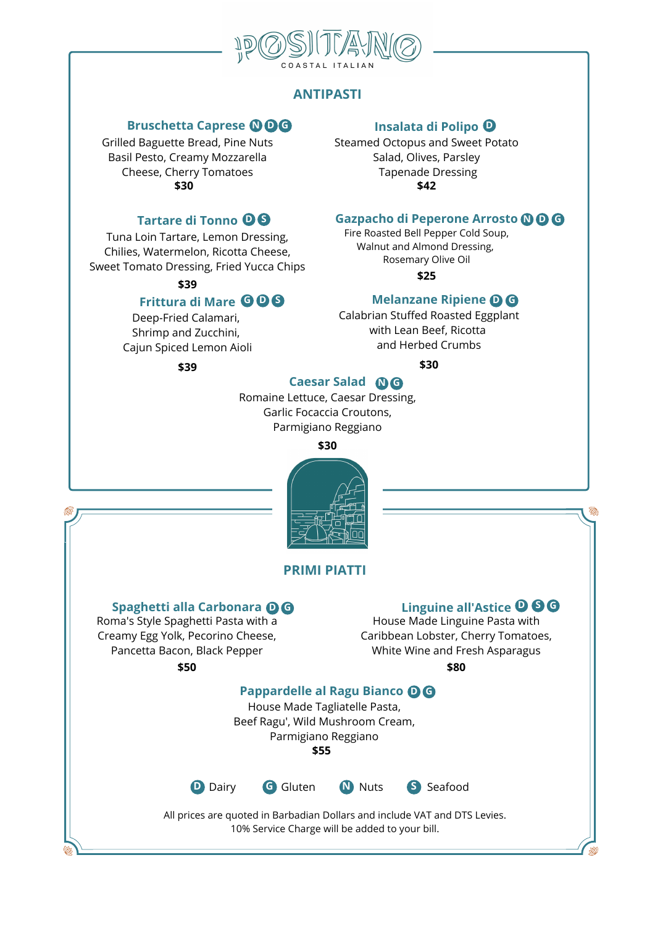

# **ANTIPASTI**

#### **Bruschetta Caprese N D G**

Grilled Baguette Bread, Pine Nuts Basil Pesto, Creamy Mozzarella Cheese, Cherry Tomatoes **\$30**

# **Tartare di Tonno D S**

Tuna Loin Tartare, Lemon Dressing, Chilies, Watermelon, Ricotta Cheese, Sweet Tomato Dressing, Fried Yucca Chips

**\$39**

# **Frittura di Mare G D S**

Deep-Fried Calamari, Shrimp and Zucchini, Cajun Spiced Lemon Aioli

**\$39**

# **Insalata di Polipo D**

----

**1999** ••• ••• ••• **Insalata di Polipo ••**<br>Nuts ••• ••• Steamed Octopus and Sweet Potato Salad, Olives, Parsley Tapenade Dressing **\$42**

# **O & Gazpacho di Peperone Arrosto Q O G**<br>Dressing, Fire Roasted Bell Pepper Cold Soup, **Gazpacho di Peperone Arrosto N D G**

Fire Roasted Bell Pepper Cold Soup, Walnut and Almond Dressing, Rosemary Olive Oil

**\$25**

## **Melanzane Ripiene D G**

••• • • Calabrian Stuffed Roasted Eggplant with Lean Beef, Ricotta and Herbed Crumbs

# **\$30**

#### **Caesar Salad N G**

**Caesar Salad <b>OG**<br>Romaine Lettuce, Caesar Dressing, Garlic Focaccia Croutons, Parmigiano Reggiano

**\$30**



## **PRIMI PIATTI**

#### **Spaghetti alla Carbonara D G**

Roma's Style Spaghetti Pasta with a Creamy Egg Yolk, Pecorino Cheese, Pancetta Bacon, Black Pepper **\$50**

## **Linguine all'Astice D S G**

**OG**<br> **Einguine all'Astice OGG**<br>
House Made Linguine Pasta with House Made Linguine Pasta with Caribbean Lobster, Cherry Tomatoes, White Wine and Fresh Asparagus

**\$80**

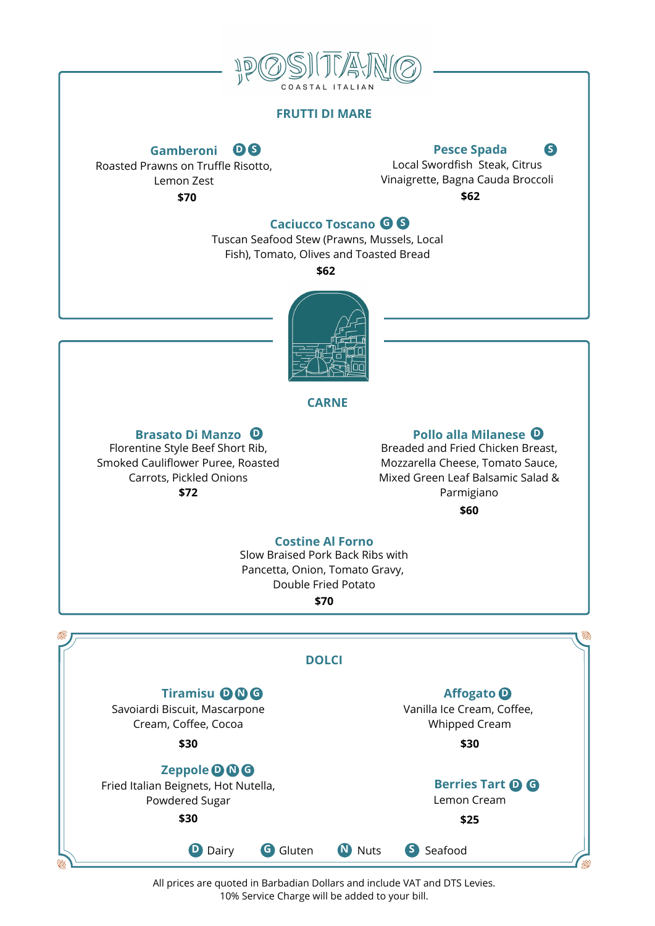

#### **FRUTTI DI MARE**

# **Gamberoni**

Roasted Prawns on Truffle Risotto, Lemon Zest **\$70**

**Pesce Spada D S S**

**1986**<br>**•• Pesce Spada**<br>Risotto, **Personal Swordfish Steak, Citrus** Vinaigrette, Bagna Cauda Broccoli **\$62**

**Caciucco Toscano G S**

**Caciucco Toscano G S**<br>Tuscan Seafood Stew (Prawns, Mussels, Local Fish), Tomato, Olives and Toasted Bread

**\$62**



#### **CARNE**

#### **Brasato Di Manzo**

Florentine Style Beef Short Rib, Smoked Cauliflower Puree, Roasted Carrots, Pickled Onions **\$72**

#### **Pollo alla Milanese D D**

• • Breaded and Fried Chicken Breast, Mozzarella Cheese, Tomato Sauce, Mixed Green Leaf Balsamic Salad & Parmigiano **\$60**

**Costine Al Forno**

Slow Braised Pork Back Ribs with Pancetta, Onion, Tomato Gravy, Double Fried Potato

**\$70**



All prices are quoted in Barbadian Dollars and include VAT and DTS Levies. 10% Service Charge will be added to your bill.